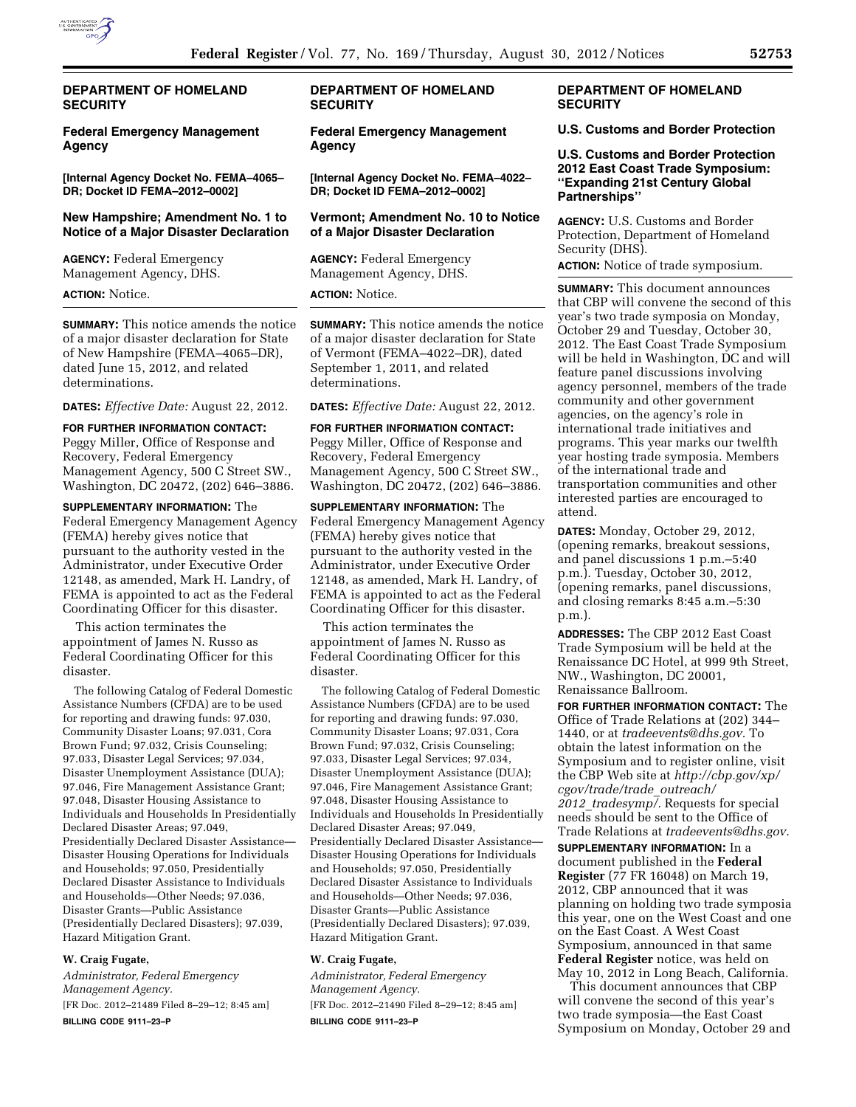

# **DEPARTMENT OF HOMELAND SECURITY**

### **Federal Emergency Management Agency**

**[Internal Agency Docket No. FEMA–4065– DR; Docket ID FEMA–2012–0002]** 

### **New Hampshire; Amendment No. 1 to Notice of a Major Disaster Declaration**

**AGENCY:** Federal Emergency Management Agency, DHS.

**ACTION:** Notice.

**SUMMARY:** This notice amends the notice of a major disaster declaration for State of New Hampshire (FEMA–4065–DR), dated June 15, 2012, and related determinations.

**DATES:** *Effective Date:* August 22, 2012.

**FOR FURTHER INFORMATION CONTACT:**  Peggy Miller, Office of Response and Recovery, Federal Emergency Management Agency, 500 C Street SW., Washington, DC 20472, (202) 646–3886.

**SUPPLEMENTARY INFORMATION:** The Federal Emergency Management Agency (FEMA) hereby gives notice that pursuant to the authority vested in the Administrator, under Executive Order 12148, as amended, Mark H. Landry, of FEMA is appointed to act as the Federal Coordinating Officer for this disaster.

This action terminates the appointment of James N. Russo as Federal Coordinating Officer for this disaster.

The following Catalog of Federal Domestic Assistance Numbers (CFDA) are to be used for reporting and drawing funds: 97.030, Community Disaster Loans; 97.031, Cora Brown Fund; 97.032, Crisis Counseling; 97.033, Disaster Legal Services; 97.034, Disaster Unemployment Assistance (DUA); 97.046, Fire Management Assistance Grant; 97.048, Disaster Housing Assistance to Individuals and Households In Presidentially Declared Disaster Areas; 97.049, Presidentially Declared Disaster Assistance— Disaster Housing Operations for Individuals and Households; 97.050, Presidentially Declared Disaster Assistance to Individuals and Households—Other Needs; 97.036, Disaster Grants—Public Assistance (Presidentially Declared Disasters); 97.039, Hazard Mitigation Grant.

# **W. Craig Fugate,**

*Administrator, Federal Emergency Management Agency.*  [FR Doc. 2012–21489 Filed 8–29–12; 8:45 am] **BILLING CODE 9111–23–P** 

# **DEPARTMENT OF HOMELAND SECURITY**

**Federal Emergency Management Agency** 

**[Internal Agency Docket No. FEMA–4022– DR; Docket ID FEMA–2012–0002]** 

#### **Vermont; Amendment No. 10 to Notice of a Major Disaster Declaration**

**AGENCY:** Federal Emergency Management Agency, DHS.

**ACTION:** Notice.

**SUMMARY:** This notice amends the notice of a major disaster declaration for State of Vermont (FEMA–4022–DR), dated September 1, 2011, and related determinations.

**DATES:** *Effective Date:* August 22, 2012.

**FOR FURTHER INFORMATION CONTACT:**  Peggy Miller, Office of Response and Recovery, Federal Emergency Management Agency, 500 C Street SW., Washington, DC 20472, (202) 646–3886.

**SUPPLEMENTARY INFORMATION:** The Federal Emergency Management Agency (FEMA) hereby gives notice that pursuant to the authority vested in the Administrator, under Executive Order 12148, as amended, Mark H. Landry, of FEMA is appointed to act as the Federal Coordinating Officer for this disaster.

This action terminates the appointment of James N. Russo as Federal Coordinating Officer for this disaster.

The following Catalog of Federal Domestic Assistance Numbers (CFDA) are to be used for reporting and drawing funds: 97.030, Community Disaster Loans; 97.031, Cora Brown Fund; 97.032, Crisis Counseling; 97.033, Disaster Legal Services; 97.034, Disaster Unemployment Assistance (DUA); 97.046, Fire Management Assistance Grant; 97.048, Disaster Housing Assistance to Individuals and Households In Presidentially Declared Disaster Areas; 97.049, Presidentially Declared Disaster Assistance— Disaster Housing Operations for Individuals and Households; 97.050, Presidentially Declared Disaster Assistance to Individuals and Households—Other Needs; 97.036, Disaster Grants—Public Assistance (Presidentially Declared Disasters); 97.039, Hazard Mitigation Grant.

### **W. Craig Fugate,**

*Administrator, Federal Emergency Management Agency.*  [FR Doc. 2012–21490 Filed 8–29–12; 8:45 am] **BILLING CODE 9111–23–P** 

## **DEPARTMENT OF HOMELAND SECURITY**

#### **U.S. Customs and Border Protection**

#### **U.S. Customs and Border Protection 2012 East Coast Trade Symposium: ''Expanding 21st Century Global Partnerships''**

**AGENCY:** U.S. Customs and Border Protection, Department of Homeland Security (DHS). **ACTION:** Notice of trade symposium.

**SUMMARY:** This document announces that CBP will convene the second of this year's two trade symposia on Monday, October 29 and Tuesday, October 30, 2012. The East Coast Trade Symposium will be held in Washington, DC and will feature panel discussions involving agency personnel, members of the trade community and other government agencies, on the agency's role in international trade initiatives and programs. This year marks our twelfth year hosting trade symposia. Members of the international trade and transportation communities and other interested parties are encouraged to attend.

**DATES:** Monday, October 29, 2012, (opening remarks, breakout sessions, and panel discussions 1 p.m.–5:40 p.m.). Tuesday, October 30, 2012, (opening remarks, panel discussions, and closing remarks 8:45 a.m.–5:30 p.m.).

**ADDRESSES:** The CBP 2012 East Coast Trade Symposium will be held at the Renaissance DC Hotel, at 999 9th Street, NW., Washington, DC 20001, Renaissance Ballroom.

**FOR FURTHER INFORMATION CONTACT:** The Office of Trade Relations at (202) 344– 1440, or at *[tradeevents@dhs.gov.](mailto:tradeevents@dhs.gov)* To obtain the latest information on the Symposium and to register online, visit the CBP Web site at *[http://cbp.gov/xp/](http://cbp.gov/xp/cgov/trade/trade_outreach/2012_tradesymp/)  [cgov/trade/trade](http://cbp.gov/xp/cgov/trade/trade_outreach/2012_tradesymp/)*\_*outreach/ 2012*\_*[tradesymp/.](http://cbp.gov/xp/cgov/trade/trade_outreach/2012_tradesymp/)* Requests for special needs should be sent to the Office of Trade Relations at *[tradeevents@dhs.gov.](mailto:tradeevents@dhs.gov)* 

**SUPPLEMENTARY INFORMATION:** In a document published in the **Federal Register** (77 FR 16048) on March 19, 2012, CBP announced that it was planning on holding two trade symposia this year, one on the West Coast and one on the East Coast. A West Coast Symposium, announced in that same **Federal Register** notice, was held on May 10, 2012 in Long Beach, California.

This document announces that CBP will convene the second of this year's two trade symposia—the East Coast Symposium on Monday, October 29 and